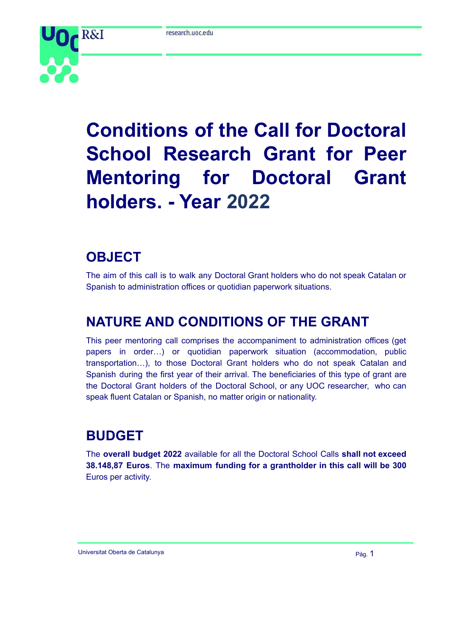

# **Conditions of the Call for Doctoral School Research Grant for Peer Mentoring for Doctoral Grant holders. - Year 2022**

#### **OBJECT**

The aim of this call is to walk any Doctoral Grant holders who do not speak Catalan or Spanish to administration offices or quotidian paperwork situations.

## **NATURE AND CONDITIONS OF THE GRANT**

This peer mentoring call comprises the accompaniment to administration offices (get papers in order…) or quotidian paperwork situation (accommodation, public transportation…), to those Doctoral Grant holders who do not speak Catalan and Spanish during the first year of their arrival. The beneficiaries of this type of grant are the Doctoral Grant holders of the Doctoral School, or any UOC researcher, who can speak fluent Catalan or Spanish, no matter origin or nationality.

## **BUDGET**

The **overall budget 2022** available for all the Doctoral School Calls **shall not exceed 38.148,87 Euros**. The **maximum funding for a grantholder in this call will be 300** Euros per activity.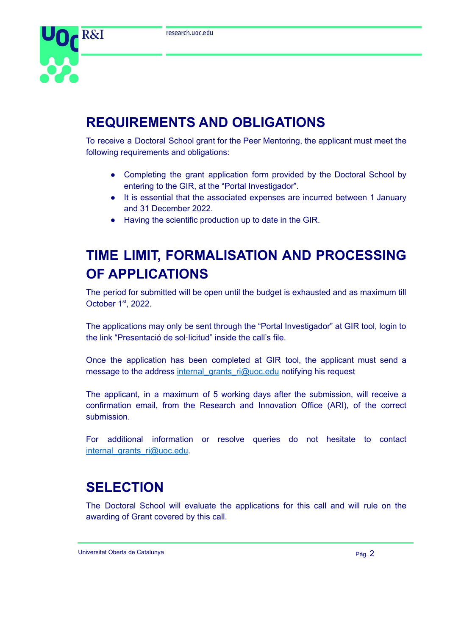

## **REQUIREMENTS AND OBLIGATIONS**

To receive a Doctoral School grant for the Peer Mentoring, the applicant must meet the following requirements and obligations:

- Completing the grant application form provided by the Doctoral School by entering to the GIR, at the "Portal Investigador".
- It is essential that the associated expenses are incurred between 1 January and 31 December 2022.
- Having the scientific production up to date in the GIR.

## **TIME LIMIT, FORMALISATION AND PROCESSING OF APPLICATIONS**

The period for submitted will be open until the budget is exhausted and as maximum till October 1<sup>st</sup>, 2022.

The applications may only be sent through the "Portal Investigador" at GIR tool, login to the link "Presentació de sol·licitud" inside the call's file.

Once the application has been completed at GIR tool, the applicant must send a message to the address [internal\\_grants\\_ri@uoc.edu](mailto:internal_grants_ri@uoc.edu) notifying his request

The applicant, in a maximum of 5 working days after the submission, will receive a confirmation email, from the Research and Innovation Office (ARI), of the correct submission.

For additional information or resolve queries do not hesitate to contact internal grants ri@uoc.edu.

#### **SELECTION**

The Doctoral School will evaluate the applications for this call and will rule on the awarding of Grant covered by this call.